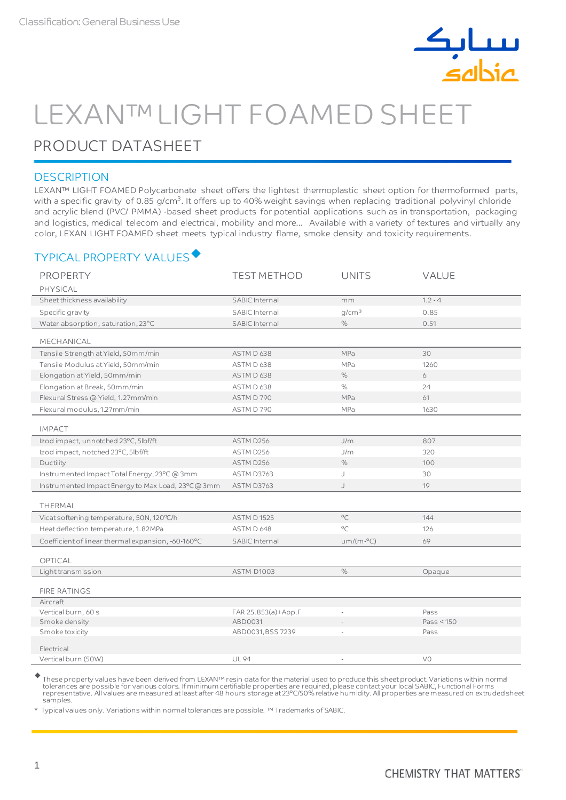

# LEXAN™LIGHT FOAMED SHEET

## PRODUCT DATASHEET

#### **DESCRIPTION**

LEXAN™ LIGHT FOAMED Polycarbonate sheet offers the lightest thermoplastic sheet option for thermoformed parts, with a specific gravity of 0.85 g/cm $^3$ . It offers up to 40% weight savings when replacing traditional polyvinyl chloride and acrylic blend (PVC/ PMMA) -based sheet products for potential applications such as in transportation, packaging and logistics, medical telecom and electrical, mobility and more... Available with a variety of textures and virtually any color, LEXAN LIGHT FOAMED sheet meets typical industry flame, smoke density and toxicity requirements.

### TYPICAL PROPERTY VALUES

| <b>PROPERTY</b>                                    | <b>TEST METHOD</b>  | <b>UNITS</b>      | VALUE      |
|----------------------------------------------------|---------------------|-------------------|------------|
| PHYSICAL                                           |                     |                   |            |
| Sheet thickness availability                       | SABIC Internal      | mm                | $1.2 - 4$  |
| Specific gravity                                   | SABIC Internal      | q/cm <sup>3</sup> | 0.85       |
| Water absorption, saturation, 23°C                 | SABIC Internal      | $\%$              | 0.51       |
| MECHANICAL                                         |                     |                   |            |
| Tensile Strength at Yield, 50mm/min                | ASTM D 638          | <b>MPa</b>        | 30         |
| Tensile Modulus at Yield, 50mm/min                 | ASTM D 638          | MPa               | 1260       |
| Elongation at Yield, 50mm/min                      | ASTM D 638          | $\%$              | 6          |
| Elongation at Break, 50mm/min                      | ASTM D 638          | %                 | 24         |
| Flexural Stress @ Yield, 1.27mm/min                | ASTM D 790          | <b>MPa</b>        | 61         |
| Flexural modulus, 1.27mm/min                       | ASTM D 790          | MPa               | 1630       |
| <b>IMPACT</b>                                      |                     |                   |            |
| Izod impact, unnotched 23°C, 5lbf/ft               | ASTM D256           | J/m               | 807        |
| Izod impact, notched 23°C, 5lbf/ft                 | ASTM D256           | J/m               | 320        |
| Ductility                                          | ASTM D256           | $\%$              | 100        |
| Instrumented Impact Total Energy, 23°C @ 3mm       | <b>ASTM D3763</b>   | J                 | 30         |
| Instrumented Impact Energy to Max Load, 23°C@3mm   | ASTM D3763          | J                 | 19         |
| THERMAL                                            |                     |                   |            |
| Vicat softening temperature, 50N, 120°C/h          | <b>ASTM D1525</b>   | $^{\circ}$ C      | 144        |
| Heat deflection temperature, 1.82MPa               | ASTM D 648          | $\circ$ C         | 126        |
| Coefficient of linear thermal expansion, -60-160°C | SABIC Internal      | $um/(m -°C)$      | 69         |
|                                                    |                     |                   |            |
| OPTICAL                                            |                     |                   |            |
| Lighttransmission                                  | ASTM-D1003          | $\%$              | Opaque     |
| <b>FIRE RATINGS</b>                                |                     |                   |            |
| Aircraft                                           |                     |                   |            |
| Vertical burn, 60 s                                | FAR 25.853(a)+App.F |                   | Pass       |
| Smoke density                                      | ABD0031             |                   | Pass < 150 |
| Smoke toxicity                                     | ABD0031, BSS 7239   |                   | Pass       |
| Electrical                                         |                     |                   |            |
| Vertical burn (50W)                                | <b>UL 94</b>        |                   | V0         |

 These property values have been derived from LEXAN™ resin data for the material used to produce this sheet product. Variations within normal tolerances are possible for various colors. If minimum certifiable properties are required, please contact your local SABIC, Functional Forms<br>representative. All values are measured at least after 48 hours storage at 23°C/ samples.

Typical values only. Variations within normal tolerances are possible. ™ Trademarks of SABIC.